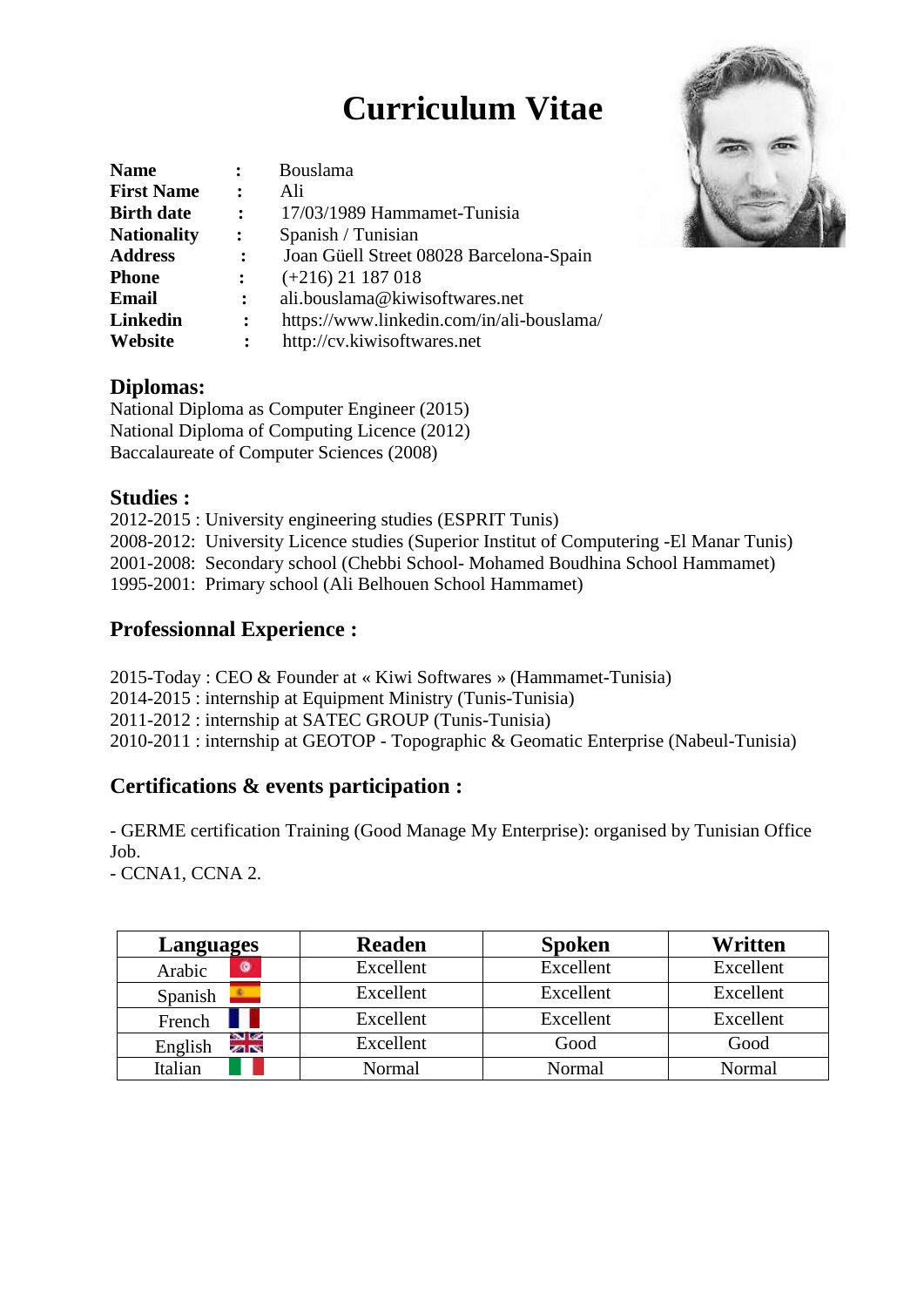# **Curriculum Vitae**

| <b>Name</b>        | $\ddot{\cdot}$       | Bouslama                                  |  |
|--------------------|----------------------|-------------------------------------------|--|
| <b>First Name</b>  | $\sim$ 200           | Ali                                       |  |
| <b>Birth date</b>  | $\ddot{\phantom{a}}$ | 17/03/1989 Hammamet-Tunisia               |  |
| <b>Nationality</b> | $\ddot{\cdot}$       | Spanish / Tunisian                        |  |
| <b>Address</b>     | $\ddot{\cdot}$       | Joan Güell Street 08028 Barcelona-Spain   |  |
| <b>Phone</b>       | $\ddot{\cdot}$       | $(+216)$ 21 187 018                       |  |
| Email              | $\ddot{\cdot}$       | ali.bouslama@kiwisoftwares.net            |  |
| Linkedin           | $\ddot{\cdot}$       | https://www.linkedin.com/in/ali-bouslama/ |  |
| Website            | $\ddot{\cdot}$       | http://cv.kiwisoftwares.net               |  |

#### **Diplomas:**

National Diploma as Computer Engineer (2015) National Diploma of Computing Licence (2012) Baccalaureate of Computer Sciences (2008)

#### **Studies :**

2012-2015 : University engineering studies (ESPRIT Tunis) 2008-2012: University Licence studies (Superior Institut of Computering -El Manar Tunis) 2001-2008: Secondary school (Chebbi School- Mohamed Boudhina School Hammamet) 1995-2001: Primary school (Ali Belhouen School Hammamet)

# **Professionnal Experience :**

2015-Today : CEO & Founder at « Kiwi Softwares » (Hammamet-Tunisia) 2014-2015 : internship at Equipment Ministry (Tunis-Tunisia) 2011-2012 : internship at SATEC GROUP (Tunis-Tunisia) 2010-2011 : internship at GEOTOP - Topographic & Geomatic Enterprise (Nabeul-Tunisia)

# **Certifications & events participation :**

- GERME certification Training (Good Manage My Enterprise): organised by Tunisian Office Job.

- CCNA1, CCNA 2.

| Languages                      | <b>Readen</b> | <b>Spoken</b> | Written   |
|--------------------------------|---------------|---------------|-----------|
| ۵<br>Arabic                    | Excellent     | Excellent     | Excellent |
| Spanish                        | Excellent     | Excellent     | Excellent |
| French                         | Excellent     | Excellent     | Excellent |
| s l<br>English<br><b>SPIES</b> | Excellent     | Good          | Good      |
| Italian                        | Normal        | Normal        | Normal    |